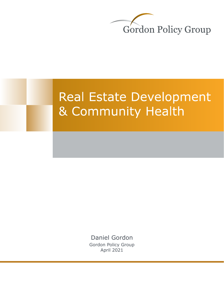

# **Real Estate Development** & Community Health

Daniel Gordon [Gordon Policy Group](https://www.gordonpg.com/) April 2021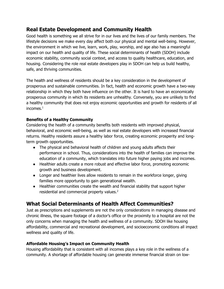## **Real Estate Development and Community Health**

Good health is something we all strive for in our lives and the lives of our family members. The lifestyle decisions we make every day affect both our physical and mental well-being. However, the environment in which we live, learn, work, play, worship, and age also has a meaningful impact on our health and quality of life. These social determinants of health (SDOH) include economic stability, community social context, and access to quality healthcare, education, and housing. Considering the role real estate developers play in SDOH can help us build healthy, safe, and thriving communities.

The health and wellness of residents should be a key consideration in the development of prosperous and sustainable communities. In fact, health and economic growth have a two-way relationship in which they both have influence on the other. It is hard to have an economically prosperous community in which its residents are unhealthy. Conversely, you are unlikely to find a healthy community that does not enjoy economic opportunities and growth for residents of all incomes.<sup>1</sup>

#### **Benefits of a Healthy Community**

Considering the health of a community benefits both residents with improved physical, behavioral, and economic well-being, as well as real estate developers with increased financial returns. Healthy residents assure a healthy labor force, creating economic prosperity and longterm growth opportunities.

- The physical and behavioral health of children and young adults affects their performance in school. Thus, considerations into the health of families can improve the education of a community, which translates into future higher paying jobs and incomes.
- Healthier adults create a more robust and effective labor force, promoting economic growth and business development.
- Longer and healthier lives allow residents to remain in the workforce longer, giving families more opportunity to gain generational wealth.
- Healthier communities create the wealth and financial stability that support higher residential and commercial property values.<sup>2</sup>

## **What Social Determinants of Health Affect Communities?**

Just as prescriptions and supplements are not the only considerations in managing disease and chronic illness, the square footage of a doctor's office or the proximity to a hospital are not the only concerns when managing the health and wellness of a community. SDOH like housing affordability, commercial and recreational development, and socioeconomic conditions all impact wellness and quality of life.

#### **Affordable Housing's Impact on Community Health**

Housing affordability that is consistent with all incomes plays a key role in the wellness of a community. A shortage of affordable housing can generate immense financial strain on low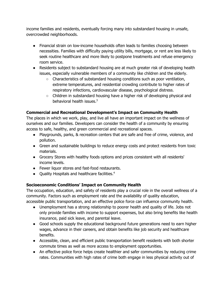income families and residents, eventually forcing many into substandard housing in unsafe, overcrowded neighborhoods.

- Financial strain on low-income households often leads to families choosing between necessities. Families with difficulty paying utility bills, mortgage, or rent are less likely to seek routine healthcare and more likely to postpone treatments and refuse emergency room service.
- Residents subject to substandard housing are at much greater risk of developing health issues, especially vulnerable members of a community like children and the elderly.
	- Characteristics of substandard housing conditions such as poor ventilation, extreme temperatures, and residential crowding contribute to higher rates of respiratory infections, cardiovascular disease, psychological distress.
	- Children in substandard housing have a higher risk of developing physical and behavioral health issues.<sup>3</sup>

#### **Commercial and Recreational Development's Impact on Community Health**

The places in which we work, play, and live all have an important impact on the wellness of ourselves and our families. Developers can consider the health of a community by ensuring access to safe, healthy, and green commercial and recreational spaces.

- Playgrounds, parks, & recreation centers that are safe and free of crime, violence, and pollution.
- Green and sustainable buildings to reduce energy costs and protect residents from toxic materials.
- Grocery Stores with healthy foods options and prices consistent with all residents' income levels.
- Fewer liquor stores and fast-food restaurants.
- Quality Hospitals and healthcare facilities. 4

### **Socioeconomic Conditions' Impact on Community Health**

The occupation, education, and safety of residents play a crucial role in the overall wellness of a community. Factors such as employment rate and the availability of quality education, accessible public transportation, and an effective police force can influence community health.

- Unemployment has a strong relationship to poorer health and quality of life. Jobs not only provide families with income to support expenses, but also bring benefits like health insurance, paid sick leave, and parental leave.
- Good schools supply the educational background future generations need to earn higher wages, advance in their careers, and obtain benefits like job security and healthcare benefits.
- Accessible, clean, and efficient public transportation benefit residents with both shorter commute times as well as more access to employment opportunities.
- An effective police force helps create healthier and safer communities by reducing crime rates. Communities with high rates of crime both engage in less physical activity out of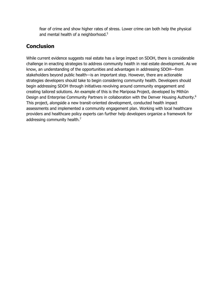fear of crime and show higher rates of stress. Lower crime can both help the physical and mental health of a neighborhood.<sup>5</sup>

## **Conclusion**

While current evidence suggests real estate has a large impact on SDOH, there is considerable challenge in enacting strategies to address community health in real estate development. As we know, an understanding of the opportunities and advantages in addressing SDOH—from stakeholders beyond public health—is an important step. However, there are actionable strategies developers should take to begin considering community health. Developers should begin addressing SDOH through initiatives revolving around community engagement and creating tailored solutions. An example of this is the Mariposa Project, developed by Mithūn Design and Enterprise Community Partners in collaboration with the Denver Housing Authority.<sup>6</sup> This project, alongside a new transit-oriented development, conducted health impact assessments and implemented a community engagement plan. Working with local healthcare providers and healthcare policy experts can further help developers organize a framework for addressing community health.<sup>7</sup>